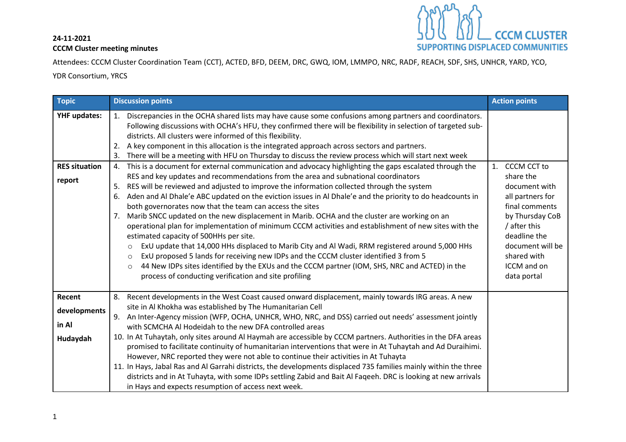## **24-11-2021 CCCM Cluster meeting minutes**



Attendees: CCCM Cluster Coordination Team (CCT), ACTED, BFD, DEEM, DRC, GWQ, IOM, LMMPO, NRC, RADF, REACH, SDF, SHS, UNHCR, YARD, YCO,

YDR Consortium, YRCS

| <b>Topic</b>                                          | <b>Discussion points</b>                                                                                                                                                                                                                                                                                                                                                                                                                                                                                                                                                                                                                                                                                                                                                                                                                                                                                                                                                                                                                                                                                                                                                                                                                                                                                                                                                                                                                                                                                                                                                                                                                   | <b>Action points</b>                                                                                                                                                                                             |
|-------------------------------------------------------|--------------------------------------------------------------------------------------------------------------------------------------------------------------------------------------------------------------------------------------------------------------------------------------------------------------------------------------------------------------------------------------------------------------------------------------------------------------------------------------------------------------------------------------------------------------------------------------------------------------------------------------------------------------------------------------------------------------------------------------------------------------------------------------------------------------------------------------------------------------------------------------------------------------------------------------------------------------------------------------------------------------------------------------------------------------------------------------------------------------------------------------------------------------------------------------------------------------------------------------------------------------------------------------------------------------------------------------------------------------------------------------------------------------------------------------------------------------------------------------------------------------------------------------------------------------------------------------------------------------------------------------------|------------------------------------------------------------------------------------------------------------------------------------------------------------------------------------------------------------------|
| <b>YHF updates:</b><br><b>RES situation</b><br>report | Discrepancies in the OCHA shared lists may have cause some confusions among partners and coordinators.<br>1.<br>Following discussions with OCHA's HFU, they confirmed there will be flexibility in selection of targeted sub-<br>districts. All clusters were informed of this flexibility.<br>A key component in this allocation is the integrated approach across sectors and partners.<br>There will be a meeting with HFU on Thursday to discuss the review process which will start next week<br>This is a document for external communication and advocacy highlighting the gaps escalated through the<br>4.<br>RES and key updates and recommendations from the area and subnational coordinators<br>RES will be reviewed and adjusted to improve the information collected through the system<br>5.<br>Aden and Al Dhale'e ABC updated on the eviction issues in Al Dhale'e and the priority to do headcounts in<br>6.<br>both governorates now that the team can access the sites<br>Marib SNCC updated on the new displacement in Marib. OCHA and the cluster are working on an<br>7.<br>operational plan for implementation of minimum CCCM activities and establishment of new sites with the<br>estimated capacity of 500HHs per site.<br>ExU update that 14,000 HHs displaced to Marib City and Al Wadi, RRM registered around 5,000 HHs<br>$\circ$<br>ExU proposed 5 lands for receiving new IDPs and the CCCM cluster identified 3 from 5<br>$\circ$<br>44 New IDPs sites identified by the EXUs and the CCCM partner (IOM, SHS, NRC and ACTED) in the<br>$\circ$<br>process of conducting verification and site profiling | <b>CCCM CCT to</b><br>1.<br>share the<br>document with<br>all partners for<br>final comments<br>by Thursday CoB<br>/ after this<br>deadline the<br>document will be<br>shared with<br>ICCM and on<br>data portal |
| Recent                                                | 8. Recent developments in the West Coast caused onward displacement, mainly towards IRG areas. A new                                                                                                                                                                                                                                                                                                                                                                                                                                                                                                                                                                                                                                                                                                                                                                                                                                                                                                                                                                                                                                                                                                                                                                                                                                                                                                                                                                                                                                                                                                                                       |                                                                                                                                                                                                                  |
| developments                                          | site in Al Khokha was established by The Humanitarian Cell<br>9. An Inter-Agency mission (WFP, OCHA, UNHCR, WHO, NRC, and DSS) carried out needs' assessment jointly                                                                                                                                                                                                                                                                                                                                                                                                                                                                                                                                                                                                                                                                                                                                                                                                                                                                                                                                                                                                                                                                                                                                                                                                                                                                                                                                                                                                                                                                       |                                                                                                                                                                                                                  |
| in Al                                                 | with SCMCHA Al Hodeidah to the new DFA controlled areas                                                                                                                                                                                                                                                                                                                                                                                                                                                                                                                                                                                                                                                                                                                                                                                                                                                                                                                                                                                                                                                                                                                                                                                                                                                                                                                                                                                                                                                                                                                                                                                    |                                                                                                                                                                                                                  |
| Hudaydah                                              | 10. In At Tuhaytah, only sites around Al Haymah are accessible by CCCM partners. Authorities in the DFA areas<br>promised to facilitate continuity of humanitarian interventions that were in At Tuhaytah and Ad Duraihimi.<br>However, NRC reported they were not able to continue their activities in At Tuhayta<br>11. In Hays, Jabal Ras and Al Garrahi districts, the developments displaced 735 families mainly within the three<br>districts and in At Tuhayta, with some IDPs settling Zabid and Bait Al Faqeeh. DRC is looking at new arrivals<br>in Hays and expects resumption of access next week.                                                                                                                                                                                                                                                                                                                                                                                                                                                                                                                                                                                                                                                                                                                                                                                                                                                                                                                                                                                                                             |                                                                                                                                                                                                                  |